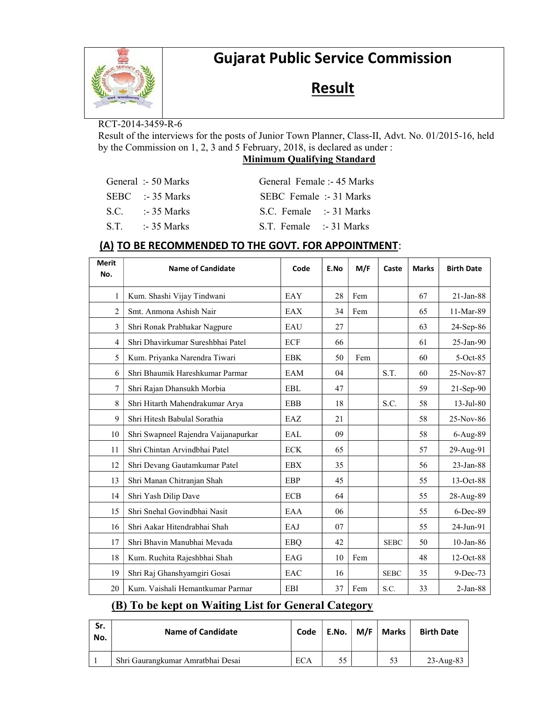

# Gujarat Public Service Commission

## **Result**

#### RCT-2014-3459-R-6

Result of the interviews for the posts of Junior Town Planner, Class-II, Advt. No. 01/2015-16, held by the Commission on 1, 2, 3 and 5 February, 2018, is declared as under :

#### Minimum Qualifying Standard

|  | General :- 50 Marks | General Female :- 45 Marks        |  |
|--|---------------------|-----------------------------------|--|
|  | $SEBC$ :-35 Marks   | SEBC Female :- 31 Marks           |  |
|  | $S.C.$ :-35 Marks   | S.C. Female $\therefore$ 31 Marks |  |
|  | $ST = -35$ Marks    | S.T. Female :-31 Marks            |  |

#### (A) TO BE RECOMMENDED TO THE GOVT. FOR APPOINTMENT:

| <b>Merit</b><br>No. | <b>Name of Candidate</b>             | Code       | E.No | M/F | Caste       | <b>Marks</b> | <b>Birth Date</b> |
|---------------------|--------------------------------------|------------|------|-----|-------------|--------------|-------------------|
| 1                   | Kum. Shashi Vijay Tindwani           | EAY        | 28   | Fem |             | 67           | 21-Jan-88         |
| 2                   | Smt. Anmona Ashish Nair              | EAX        | 34   | Fem |             | 65           | 11-Mar-89         |
| 3                   | Shri Ronak Prabhakar Nagpure         | EAU        | 27   |     |             | 63           | 24-Sep-86         |
| 4                   | Shri Dhavirkumar Sureshbhai Patel    | ECF        | 66   |     |             | 61           | $25$ -Jan- $90$   |
| 5                   | Kum. Priyanka Narendra Tiwari        | <b>EBK</b> | 50   | Fem |             | 60           | $5-Oct-85$        |
| 6                   | Shri Bhaumik Hareshkumar Parmar      | EAM        | 04   |     | S.T.        | 60           | 25-Nov-87         |
| 7                   | Shri Rajan Dhansukh Morbia           | <b>EBL</b> | 47   |     |             | 59           | 21-Sep-90         |
| 8                   | Shri Hitarth Mahendrakumar Arya      | <b>EBB</b> | 18   |     | S.C.        | 58           | 13-Jul-80         |
| 9                   | Shri Hitesh Babulal Sorathia         | EAZ        | 21   |     |             | 58           | 25-Nov-86         |
| 10                  | Shri Swapneel Rajendra Vaijanapurkar | EAL        | 09   |     |             | 58           | 6-Aug-89          |
| 11                  | Shri Chintan Arvindbhai Patel        | <b>ECK</b> | 65   |     |             | 57           | 29-Aug-91         |
| 12                  | Shri Devang Gautamkumar Patel        | <b>EBX</b> | 35   |     |             | 56           | 23-Jan-88         |
| 13                  | Shri Manan Chitranjan Shah           | EBP        | 45   |     |             | 55           | 13-Oct-88         |
| 14                  | Shri Yash Dilip Dave                 | <b>ECB</b> | 64   |     |             | 55           | 28-Aug-89         |
| 15                  | Shri Snehal Govindbhai Nasit         | EAA        | 06   |     |             | 55           | $6$ -Dec-89       |
| 16                  | Shri Aakar Hitendrabhai Shah         | EAJ        | 07   |     |             | 55           | 24-Jun-91         |
| 17                  | Shri Bhavin Manubhai Mevada          | <b>EBQ</b> | 42   |     | <b>SEBC</b> | 50           | $10$ -Jan-86      |
| 18                  | Kum. Ruchita Rajeshbhai Shah         | EAG        | 10   | Fem |             | 48           | 12-Oct-88         |
| 19                  | Shri Raj Ghanshyamgiri Gosai         | EAC        | 16   |     | <b>SEBC</b> | 35           | 9-Dec-73          |
| 20                  | Kum. Vaishali Hemantkumar Parmar     | <b>EBI</b> | 37   | Fem | S.C.        | 33           | $2-Jan-88$        |

## (B) To be kept on Waiting List for General Category

| Sr.<br>No. | <b>Name of Candidate</b>          | Code | $\mathsf{E}.\mathsf{No}. \ \mathsf{I}$ | M/F   Marks | <b>Birth Date</b> |
|------------|-----------------------------------|------|----------------------------------------|-------------|-------------------|
|            | Shri Gaurangkumar Amratbhai Desai | ECA  |                                        | 53          | $23$ -Aug-83      |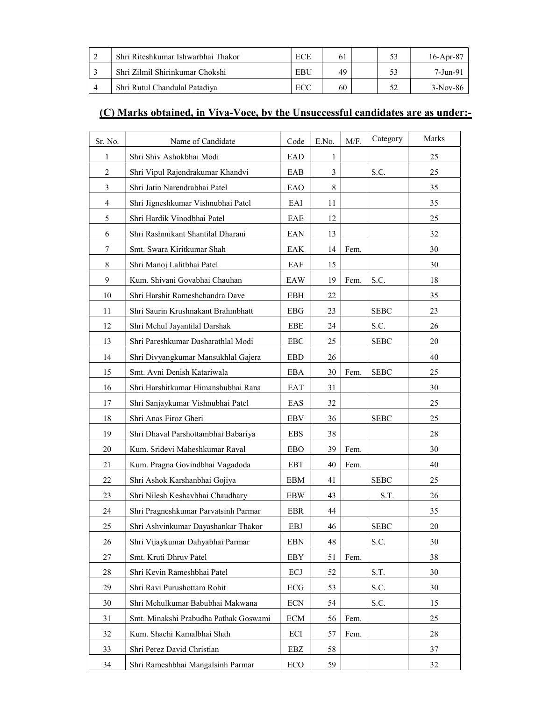| Shri Riteshkumar Ishwarbhai Thakor | ECE | 61 | 53 | $16$ -Apr-87 |
|------------------------------------|-----|----|----|--------------|
| Shri Zilmil Shirinkumar Chokshi    | EBU | 49 | 53 | 7-Jun-91     |
| Shri Rutul Chandulal Patadiya      | ECC | 60 |    | $3-Nov-86$   |

## (C) Marks obtained, in Viva-Voce, by the Unsuccessful candidates are as under:-

| Sr. No.        | Name of Candidate                     | Code        | E.No. | M/F. | Category    | Marks |
|----------------|---------------------------------------|-------------|-------|------|-------------|-------|
| 1              | Shri Shiv Ashokbhai Modi              | EAD         | 1     |      |             | 25    |
| $\overline{2}$ | Shri Vipul Rajendrakumar Khandvi      | EAB         | 3     |      | S.C.        | 25    |
| 3              | Shri Jatin Narendrabhai Patel         | EAO         | 8     |      |             | 35    |
| 4              | Shri Jigneshkumar Vishnubhai Patel    | EAI         | 11    |      |             | 35    |
| 5              | Shri Hardik Vinodbhai Patel           | EAE         | 12    |      |             | 25    |
| 6              | Shri Rashmikant Shantilal Dharani     | EAN         | 13    |      |             | 32    |
| 7              | Smt. Swara Kiritkumar Shah            | EAK         | 14    | Fem. |             | 30    |
| 8              | Shri Manoj Lalitbhai Patel            | EAF         | 15    |      |             | 30    |
| 9              | Kum. Shivani Govabhai Chauhan         | EAW         | 19    | Fem. | S.C.        | 18    |
| 10             | Shri Harshit Rameshchandra Dave       | <b>EBH</b>  | 22    |      |             | 35    |
| 11             | Shri Saurin Krushnakant Brahmbhatt    | EBG         | 23    |      | <b>SEBC</b> | 23    |
| 12             | Shri Mehul Jayantilal Darshak         | EBE         | 24    |      | S.C.        | 26    |
| 13             | Shri Pareshkumar Dasharathlal Modi    | ${\rm EBC}$ | 25    |      | <b>SEBC</b> | 20    |
| 14             | Shri Divyangkumar Mansukhlal Gajera   | <b>EBD</b>  | 26    |      |             | 40    |
| 15             | Smt. Avni Denish Katariwala           | EBA         | 30    | Fem. | <b>SEBC</b> | 25    |
| 16             | Shri Harshitkumar Himanshubhai Rana   | EAT         | 31    |      |             | 30    |
| 17             | Shri Sanjaykumar Vishnubhai Patel     | EAS         | 32    |      |             | 25    |
| 18             | Shri Anas Firoz Gheri                 | EBV         | 36    |      | <b>SEBC</b> | 25    |
| 19             | Shri Dhaval Parshottambhai Babariya   | <b>EBS</b>  | 38    |      |             | 28    |
| 20             | Kum. Sridevi Maheshkumar Raval        | <b>EBO</b>  | 39    | Fem. |             | 30    |
| 21             | Kum. Pragna Govindbhai Vagadoda       | <b>EBT</b>  | 40    | Fem. |             | 40    |
| 22             | Shri Ashok Karshanbhai Gojiya         | <b>EBM</b>  | 41    |      | <b>SEBC</b> | 25    |
| 23             | Shri Nilesh Keshavbhai Chaudhary      | <b>EBW</b>  | 43    |      | S.T.        | 26    |
| 24             | Shri Pragneshkumar Parvatsinh Parmar  | <b>EBR</b>  | 44    |      |             | 35    |
| 25             | Shri Ashvinkumar Dayashankar Thakor   | EBJ         | 46    |      | <b>SEBC</b> | 20    |
| 26             | Shri Vijaykumar Dahyabhai Parmar      | <b>EBN</b>  | 48    |      | S.C.        | 30    |
| 27             | Smt. Kruti Dhruv Patel                | EBY         | 51    | Fem. |             | 38    |
| 28             | Shri Kevin Rameshbhai Patel           | ECJ         | 52    |      | S.T.        | 30    |
| 29             | Shri Ravi Purushottam Rohit           | ECG         | 53    |      | S.C.        | 30    |
| 30             | Shri Mehulkumar Babubhai Makwana      | <b>ECN</b>  | 54    |      | S.C.        | 15    |
| 31             | Smt. Minakshi Prabudha Pathak Goswami | ECM         | 56    | Fem. |             | 25    |
| 32             | Kum. Shachi Kamalbhai Shah            | ECI         | 57    | Fem. |             | 28    |
| 33             | Shri Perez David Christian            | EBZ         | 58    |      |             | 37    |
| 34             | Shri Rameshbhai Mangalsinh Parmar     | ECO         | 59    |      |             | 32    |